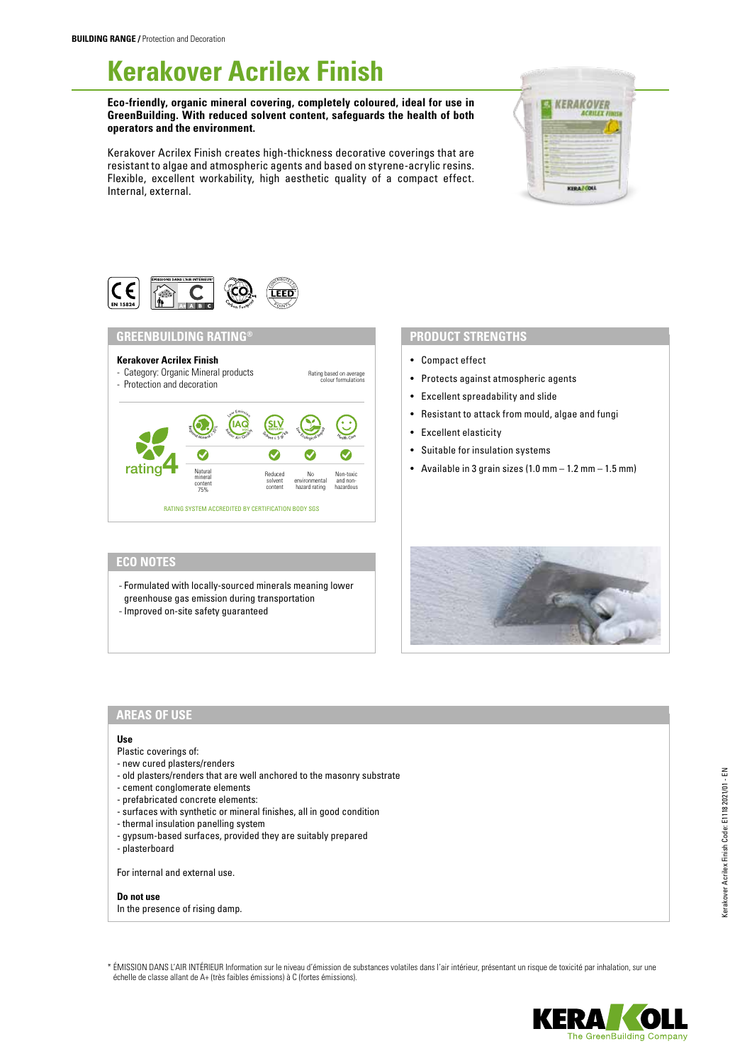# **Kerakover Acrilex Finish**

**Eco-friendly, organic mineral covering, completely coloured, ideal for use in GreenBuilding. With reduced solvent content, safeguards the health of both operators and the environment.**

Kerakover Acrilex Finish creates high-thickness decorative coverings that are resistant to algae and atmospheric agents and based on styrene-acrylic resins. Flexible, excellent workability, high aesthetic quality of a compact effect. Internal, external.





## **GREENBUILDING RATING®**



## **PRODUCT STRENGTHS**

- Compact effect
- Protects against atmospheric agents
- Excellent spreadability and slide
- Resistant to attack from mould, algae and fungi
- Excellent elasticity
- Suitable for insulation systems
- Available in 3 grain sizes  $(1.0 \text{ mm} 1.2 \text{ mm} 1.5 \text{ mm})$

## **ECO NOTES**

- Formulated with locally-sourced minerals meaning lower greenhouse gas emission during transportation
- 

# - Improved on-site safety guaranteed



## **AREAS OF USE**

#### **Use**

- Plastic coverings of:
- new cured plasters/renders
- old plasters/renders that are well anchored to the masonry substrate
- cement conglomerate elements
- prefabricated concrete elements:
- surfaces with synthetic or mineral finishes, all in good condition
- thermal insulation panelling system
- gypsum-based surfaces, provided they are suitably prepared
- plasterboard

For internal and external use.

**Do not use** In the presence of rising damp.

\* ÉMISSION DANS L'AIR INTÉRIEUR Information sur le niveau d'émission de substances volatiles dans l'air intérieur, présentant un risque de toxicité par inhalation, sur une échelle de classe allant de A+ (très faibles émissions) à C (fortes émissions).

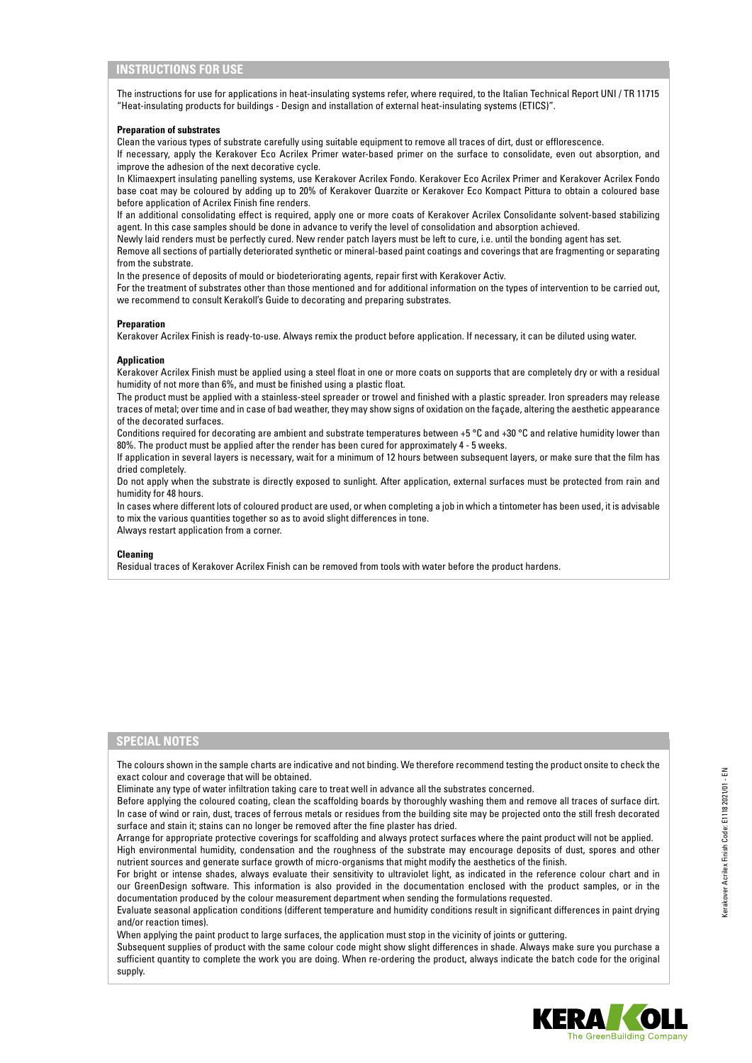### **INSTRUCTIONS FOR USE**

The instructions for use for applications in heat-insulating systems refer, where required, to the Italian Technical Report UNI / TR 11715 "Heat-insulating products for buildings - Design and installation of external heat-insulating systems (ETICS)".

#### **Preparation of substrates**

Clean the various types of substrate carefully using suitable equipment to remove all traces of dirt, dust or efflorescence. If necessary, apply the Kerakover Eco Acrilex Primer water-based primer on the surface to consolidate, even out absorption, and improve the adhesion of the next decorative cycle.

In Klimaexpert insulating panelling systems, use Kerakover Acrilex Fondo. Kerakover Eco Acrilex Primer and Kerakover Acrilex Fondo base coat may be coloured by adding up to 20% of Kerakover Quarzite or Kerakover Eco Kompact Pittura to obtain a coloured base before application of Acrilex Finish fine renders.

If an additional consolidating effect is required, apply one or more coats of Kerakover Acrilex Consolidante solvent-based stabilizing agent. In this case samples should be done in advance to verify the level of consolidation and absorption achieved.

Newly laid renders must be perfectly cured. New render patch layers must be left to cure, i.e. until the bonding agent has set.

Remove all sections of partially deteriorated synthetic or mineral-based paint coatings and coverings that are fragmenting or separating from the substrate.

In the presence of deposits of mould or biodeteriorating agents, repair first with Kerakover Activ.

For the treatment of substrates other than those mentioned and for additional information on the types of intervention to be carried out, we recommend to consult Kerakoll's Guide to decorating and preparing substrates.

#### **Preparation**

Kerakover Acrilex Finish is ready-to-use. Always remix the product before application. If necessary, it can be diluted using water.

#### **Application**

Kerakover Acrilex Finish must be applied using a steel float in one or more coats on supports that are completely dry or with a residual humidity of not more than 6%, and must be finished using a plastic float.

The product must be applied with a stainless-steel spreader or trowel and finished with a plastic spreader. Iron spreaders may release traces of metal; over time and in case of bad weather, they may show signs of oxidation on the façade, altering the aesthetic appearance of the decorated surfaces.

Conditions required for decorating are ambient and substrate temperatures between +5 °C and +30 °C and relative humidity lower than 80%. The product must be applied after the render has been cured for approximately 4 - 5 weeks.

If application in several layers is necessary, wait for a minimum of 12 hours between subsequent layers, or make sure that the film has dried completely.

Do not apply when the substrate is directly exposed to sunlight. After application, external surfaces must be protected from rain and humidity for 48 hours.

In cases where different lots of coloured product are used, or when completing a job in which a tintometer has been used, it is advisable to mix the various quantities together so as to avoid slight differences in tone.

Always restart application from a corner.

#### **Cleaning**

Residual traces of Kerakover Acrilex Finish can be removed from tools with water before the product hardens.

#### **SPECIAL NOTES**

The colours shown in the sample charts are indicative and not binding. We therefore recommend testing the product onsite to check the exact colour and coverage that will be obtained.

Eliminate any type of water infiltration taking care to treat well in advance all the substrates concerned.

Before applying the coloured coating, clean the scaffolding boards by thoroughly washing them and remove all traces of surface dirt. In case of wind or rain, dust, traces of ferrous metals or residues from the building site may be projected onto the still fresh decorated surface and stain it; stains can no longer be removed after the fine plaster has dried.

Arrange for appropriate protective coverings for scaffolding and always protect surfaces where the paint product will not be applied. High environmental humidity, condensation and the roughness of the substrate may encourage deposits of dust, spores and other nutrient sources and generate surface growth of micro-organisms that might modify the aesthetics of the finish.

For bright or intense shades, always evaluate their sensitivity to ultraviolet light, as indicated in the reference colour chart and in our GreenDesign software. This information is also provided in the documentation enclosed with the product samples, or in the documentation produced by the colour measurement department when sending the formulations requested.

Evaluate seasonal application conditions (different temperature and humidity conditions result in significant differences in paint drying and/or reaction times).

When applying the paint product to large surfaces, the application must stop in the vicinity of joints or guttering.

Subsequent supplies of product with the same colour code might show slight differences in shade. Always make sure you purchase a sufficient quantity to complete the work you are doing. When re-ordering the product, always indicate the batch code for the original supply.